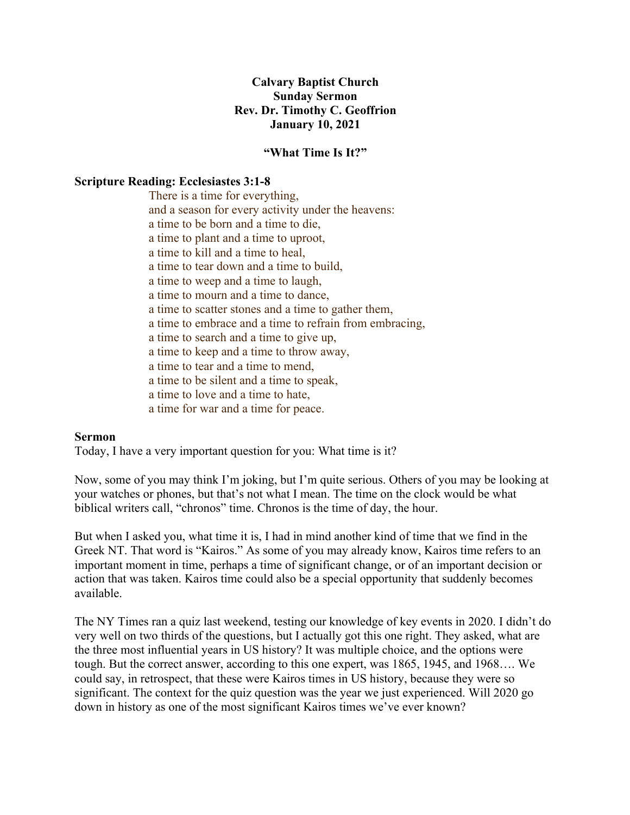## **Calvary Baptist Church Sunday Sermon Rev. Dr. Timothy C. Geoffrion January 10, 2021**

## **"What Time Is It?"**

## **Scripture Reading: Ecclesiastes 3:1-8**

There is a time for everything, and a season for every activity under the heavens: a time to be born and a time to die, a time to plant and a time to uproot, a time to kill and a time to heal, a time to tear down and a time to build, a time to weep and a time to laugh, a time to mourn and a time to dance, a time to scatter stones and a time to gather them, a time to embrace and a time to refrain from embracing, a time to search and a time to give up, a time to keep and a time to throw away, a time to tear and a time to mend, a time to be silent and a time to speak, a time to love and a time to hate, a time for war and a time for peace.

## **Sermon**

Today, I have a very important question for you: What time is it?

Now, some of you may think I'm joking, but I'm quite serious. Others of you may be looking at your watches or phones, but that's not what I mean. The time on the clock would be what biblical writers call, "chronos" time. Chronos is the time of day, the hour.

But when I asked you, what time it is, I had in mind another kind of time that we find in the Greek NT. That word is "Kairos." As some of you may already know, Kairos time refers to an important moment in time, perhaps a time of significant change, or of an important decision or action that was taken. Kairos time could also be a special opportunity that suddenly becomes available.

The NY Times ran a quiz last weekend, testing our knowledge of key events in 2020. I didn't do very well on two thirds of the questions, but I actually got this one right. They asked, what are the three most influential years in US history? It was multiple choice, and the options were tough. But the correct answer, according to this one expert, was 1865, 1945, and 1968…. We could say, in retrospect, that these were Kairos times in US history, because they were so significant. The context for the quiz question was the year we just experienced. Will 2020 go down in history as one of the most significant Kairos times we've ever known?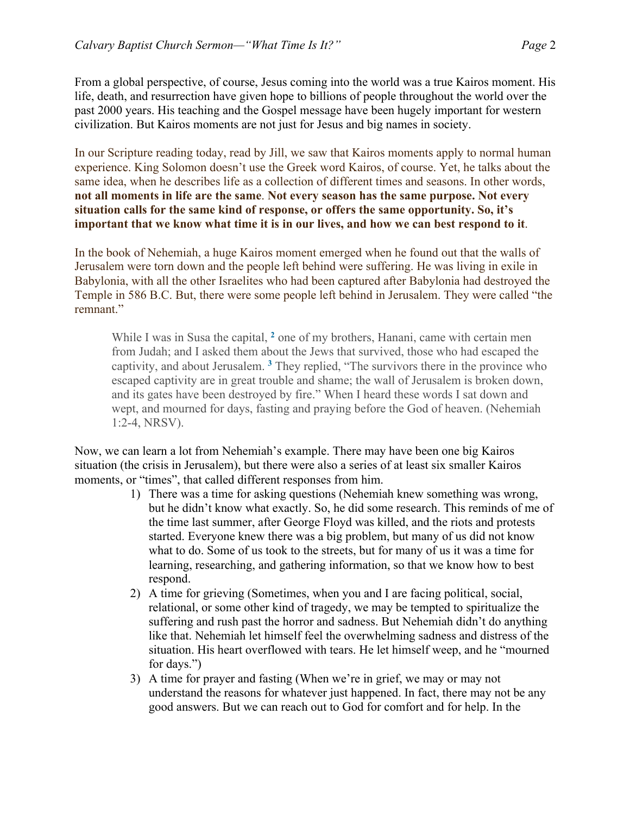From a global perspective, of course, Jesus coming into the world was a true Kairos moment. His life, death, and resurrection have given hope to billions of people throughout the world over the past 2000 years. His teaching and the Gospel message have been hugely important for western civilization. But Kairos moments are not just for Jesus and big names in society.

In our Scripture reading today, read by Jill, we saw that Kairos moments apply to normal human experience. King Solomon doesn't use the Greek word Kairos, of course. Yet, he talks about the same idea, when he describes life as a collection of different times and seasons. In other words, **not all moments in life are the same**. **Not every season has the same purpose. Not every situation calls for the same kind of response, or offers the same opportunity. So, it's important that we know what time it is in our lives, and how we can best respond to it**.

In the book of Nehemiah, a huge Kairos moment emerged when he found out that the walls of Jerusalem were torn down and the people left behind were suffering. He was living in exile in Babylonia, with all the other Israelites who had been captured after Babylonia had destroyed the Temple in 586 B.C. But, there were some people left behind in Jerusalem. They were called "the remnant."

While I was in Susa the capital, **<sup>2</sup>** one of my brothers, Hanani, came with certain men from Judah; and I asked them about the Jews that survived, those who had escaped the captivity, and about Jerusalem. **<sup>3</sup>** They replied, "The survivors there in the province who escaped captivity are in great trouble and shame; the wall of Jerusalem is broken down, and its gates have been destroyed by fire." When I heard these words I sat down and wept, and mourned for days, fasting and praying before the God of heaven. (Nehemiah 1:2-4, NRSV).

Now, we can learn a lot from Nehemiah's example. There may have been one big Kairos situation (the crisis in Jerusalem), but there were also a series of at least six smaller Kairos moments, or "times", that called different responses from him.

- 1) There was a time for asking questions (Nehemiah knew something was wrong, but he didn't know what exactly. So, he did some research. This reminds of me of the time last summer, after George Floyd was killed, and the riots and protests started. Everyone knew there was a big problem, but many of us did not know what to do. Some of us took to the streets, but for many of us it was a time for learning, researching, and gathering information, so that we know how to best respond.
- 2) A time for grieving (Sometimes, when you and I are facing political, social, relational, or some other kind of tragedy, we may be tempted to spiritualize the suffering and rush past the horror and sadness. But Nehemiah didn't do anything like that. Nehemiah let himself feel the overwhelming sadness and distress of the situation. His heart overflowed with tears. He let himself weep, and he "mourned for days.")
- 3) A time for prayer and fasting (When we're in grief, we may or may not understand the reasons for whatever just happened. In fact, there may not be any good answers. But we can reach out to God for comfort and for help. In the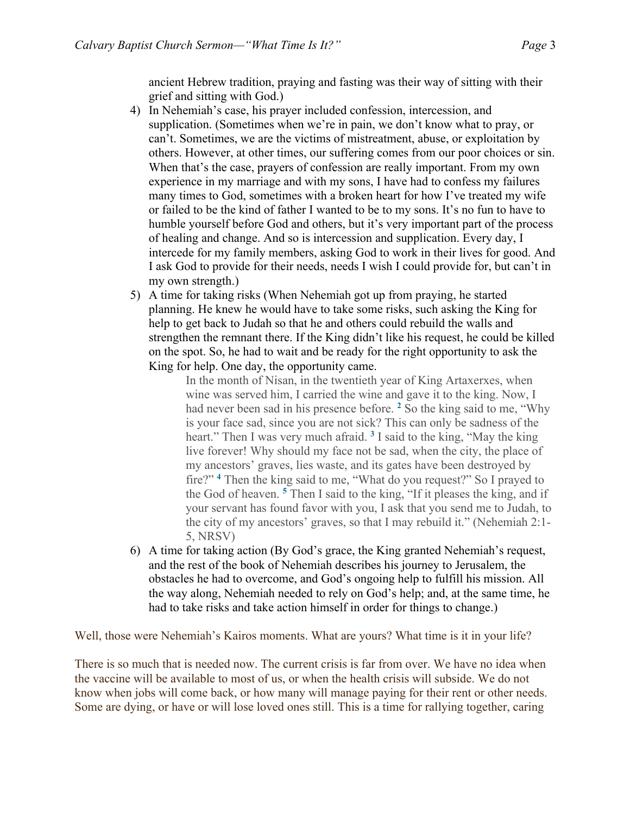ancient Hebrew tradition, praying and fasting was their way of sitting with their grief and sitting with God.)

- 4) In Nehemiah's case, his prayer included confession, intercession, and supplication. (Sometimes when we're in pain, we don't know what to pray, or can't. Sometimes, we are the victims of mistreatment, abuse, or exploitation by others. However, at other times, our suffering comes from our poor choices or sin. When that's the case, prayers of confession are really important. From my own experience in my marriage and with my sons, I have had to confess my failures many times to God, sometimes with a broken heart for how I've treated my wife or failed to be the kind of father I wanted to be to my sons. It's no fun to have to humble yourself before God and others, but it's very important part of the process of healing and change. And so is intercession and supplication. Every day, I intercede for my family members, asking God to work in their lives for good. And I ask God to provide for their needs, needs I wish I could provide for, but can't in my own strength.)
- 5) A time for taking risks (When Nehemiah got up from praying, he started planning. He knew he would have to take some risks, such asking the King for help to get back to Judah so that he and others could rebuild the walls and strengthen the remnant there. If the King didn't like his request, he could be killed on the spot. So, he had to wait and be ready for the right opportunity to ask the King for help. One day, the opportunity came.

In the month of Nisan, in the twentieth year of King Artaxerxes, when wine was served him, I carried the wine and gave it to the king. Now, I had never been sad in his presence before. **<sup>2</sup>** So the king said to me, "Why is your face sad, since you are not sick? This can only be sadness of the heart." Then I was very much afraid. **<sup>3</sup>** I said to the king, "May the king live forever! Why should my face not be sad, when the city, the place of my ancestors' graves, lies waste, and its gates have been destroyed by fire?" **<sup>4</sup>** Then the king said to me, "What do you request?" So I prayed to the God of heaven. **<sup>5</sup>** Then I said to the king, "If it pleases the king, and if your servant has found favor with you, I ask that you send me to Judah, to the city of my ancestors' graves, so that I may rebuild it." (Nehemiah 2:1- 5, NRSV)

6) A time for taking action (By God's grace, the King granted Nehemiah's request, and the rest of the book of Nehemiah describes his journey to Jerusalem, the obstacles he had to overcome, and God's ongoing help to fulfill his mission. All the way along, Nehemiah needed to rely on God's help; and, at the same time, he had to take risks and take action himself in order for things to change.)

Well, those were Nehemiah's Kairos moments. What are yours? What time is it in your life?

There is so much that is needed now. The current crisis is far from over. We have no idea when the vaccine will be available to most of us, or when the health crisis will subside. We do not know when jobs will come back, or how many will manage paying for their rent or other needs. Some are dying, or have or will lose loved ones still. This is a time for rallying together, caring